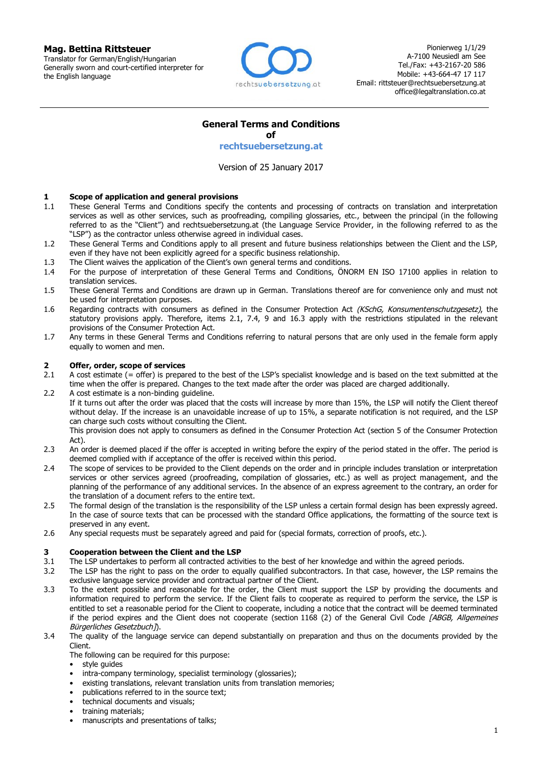#### **Mag. Bettina Rittsteuer**

Translator for German/English/Hungarian Generally sworn and court-certified interpreter for the English language



Pionierweg 1/1/29 A-7100 Neusiedl am See Tel./Fax: +43-2167-20 586 Mobile: +43-664-47 17 117 Email: rittsteuer@rechtsuebersetzung.at office@legaltranslation.co.at

## **General Terms and Conditions**

**of**

**rechtsuebersetzung.at**

Version of 25 January 2017

#### **1 Scope of application and general provisions**

- 1.1 These General Terms and Conditions specify the contents and processing of contracts on translation and interpretation services as well as other services, such as proofreading, compiling glossaries, etc., between the principal (in the following referred to as the "Client") and rechtsuebersetzung.at (the Language Service Provider, in the following referred to as the "LSP") as the contractor unless otherwise agreed in individual cases.
- 1.2 These General Terms and Conditions apply to all present and future business relationships between the Client and the LSP, even if they have not been explicitly agreed for a specific business relationship.
- 1.3 The Client waives the application of the Client's own general terms and conditions.
- 1.4 For the purpose of interpretation of these General Terms and Conditions, ÖNORM EN ISO 17100 applies in relation to translation services.
- 1.5 These General Terms and Conditions are drawn up in German. Translations thereof are for convenience only and must not be used for interpretation purposes.
- 1.6 Regarding contracts with consumers as defined in the Consumer Protection Act (KSchG, Konsumentenschutzgesetz), the statutory provisions apply. Therefore, items 2.1, 7.4, 9 and 16.3 apply with the restrictions stipulated in the relevant provisions of the Consumer Protection Act.
- 1.7 Any terms in these General Terms and Conditions referring to natural persons that are only used in the female form apply equally to women and men.

### **2 Offer, order, scope of services**

- 2.1 A cost estimate (= offer) is prepared to the best of the LSP's specialist knowledge and is based on the text submitted at the time when the offer is prepared. Changes to the text made after the order was placed are charged additionally.
- 2.2 A cost estimate is a non-binding guideline.

If it turns out after the order was placed that the costs will increase by more than 15%, the LSP will notify the Client thereof without delay. If the increase is an unavoidable increase of up to 15%, a separate notification is not required, and the LSP can charge such costs without consulting the Client.

This provision does not apply to consumers as defined in the Consumer Protection Act (section 5 of the Consumer Protection Act).

- 2.3 An order is deemed placed if the offer is accepted in writing before the expiry of the period stated in the offer. The period is deemed complied with if acceptance of the offer is received within this period.
- 2.4 The scope of services to be provided to the Client depends on the order and in principle includes translation or interpretation services or other services agreed (proofreading, compilation of glossaries, etc.) as well as project management, and the planning of the performance of any additional services. In the absence of an express agreement to the contrary, an order for the translation of a document refers to the entire text.
- 2.5 The formal design of the translation is the responsibility of the LSP unless a certain formal design has been expressly agreed. In the case of source texts that can be processed with the standard Office applications, the formatting of the source text is preserved in any event.
- 2.6 Any special requests must be separately agreed and paid for (special formats, correction of proofs, etc.).

#### **3 Cooperation between the Client and the LSP**

- 3.1 The LSP undertakes to perform all contracted activities to the best of her knowledge and within the agreed periods.
- 3.2 The LSP has the right to pass on the order to equally qualified subcontractors. In that case, however, the LSP remains the exclusive language service provider and contractual partner of the Client.
- 3.3 To the extent possible and reasonable for the order, the Client must support the LSP by providing the documents and information required to perform the service. If the Client fails to cooperate as required to perform the service, the LSP is entitled to set a reasonable period for the Client to cooperate, including a notice that the contract will be deemed terminated if the period expires and the Client does not cooperate (section 1168 (2) of the General Civil Code [ABGB, Allgemeines Bürgerliches Gesetzbuch]).
- 3.4 The quality of the language service can depend substantially on preparation and thus on the documents provided by the Client.
	- The following can be required for this purpose:

style quides

- intra-company terminology, specialist terminology (glossaries);
- existing translations, relevant translation units from translation memories;
- publications referred to in the source text;
- technical documents and visuals;
- training materials;
- manuscripts and presentations of talks;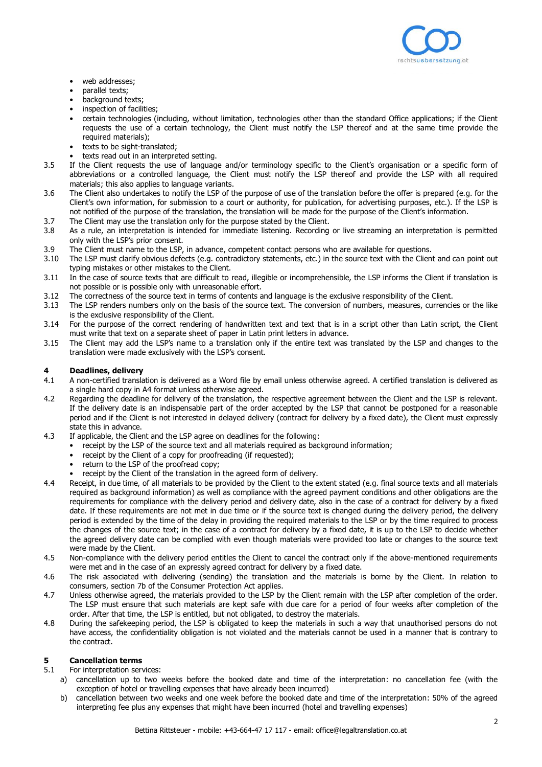

- web addresses;
- parallel texts;
- background texts;
- inspection of facilities;
- certain technologies (including, without limitation, technologies other than the standard Office applications; if the Client requests the use of a certain technology, the Client must notify the LSP thereof and at the same time provide the required materials);
- texts to be sight-translated;
- texts read out in an interpreted setting.
- 3.5 If the Client requests the use of language and/or terminology specific to the Client's organisation or a specific form of abbreviations or a controlled language, the Client must notify the LSP thereof and provide the LSP with all required materials; this also applies to language variants.
- 3.6 The Client also undertakes to notify the LSP of the purpose of use of the translation before the offer is prepared (e.g. for the Client's own information, for submission to a court or authority, for publication, for advertising purposes, etc.). If the LSP is not notified of the purpose of the translation, the translation will be made for the purpose of the Client's information.
- 3.7 The Client may use the translation only for the purpose stated by the Client.
- 3.8 As a rule, an interpretation is intended for immediate listening. Recording or live streaming an interpretation is permitted only with the LSP's prior consent.
- 3.9 The Client must name to the LSP, in advance, competent contact persons who are available for questions.
- 3.10 The LSP must clarify obvious defects (e.g. contradictory statements, etc.) in the source text with the Client and can point out typing mistakes or other mistakes to the Client.
- 3.11 In the case of source texts that are difficult to read, illegible or incomprehensible, the LSP informs the Client if translation is not possible or is possible only with unreasonable effort.
- 3.12 The correctness of the source text in terms of contents and language is the exclusive responsibility of the Client.
- 3.13 The LSP renders numbers only on the basis of the source text. The conversion of numbers, measures, currencies or the like is the exclusive responsibility of the Client.
- 3.14 For the purpose of the correct rendering of handwritten text and text that is in a script other than Latin script, the Client must write that text on a separate sheet of paper in Latin print letters in advance.
- 3.15 The Client may add the LSP's name to a translation only if the entire text was translated by the LSP and changes to the translation were made exclusively with the LSP's consent.

#### **4 Deadlines, delivery**

- 4.1 A non-certified translation is delivered as a Word file by email unless otherwise agreed. A certified translation is delivered as a single hard copy in A4 format unless otherwise agreed.
- 4.2 Regarding the deadline for delivery of the translation, the respective agreement between the Client and the LSP is relevant. If the delivery date is an indispensable part of the order accepted by the LSP that cannot be postponed for a reasonable period and if the Client is not interested in delayed delivery (contract for delivery by a fixed date), the Client must expressly state this in advance.
- 4.3 If applicable, the Client and the LSP agree on deadlines for the following:
	- receipt by the LSP of the source text and all materials required as background information:
	- receipt by the Client of a copy for proofreading (if requested);
	- return to the LSP of the proofread copy;
	- receipt by the Client of the translation in the agreed form of delivery.
- 4.4 Receipt, in due time, of all materials to be provided by the Client to the extent stated (e.g. final source texts and all materials required as background information) as well as compliance with the agreed payment conditions and other obligations are the requirements for compliance with the delivery period and delivery date, also in the case of a contract for delivery by a fixed date. If these requirements are not met in due time or if the source text is changed during the delivery period, the delivery period is extended by the time of the delay in providing the required materials to the LSP or by the time required to process the changes of the source text; in the case of a contract for delivery by a fixed date, it is up to the LSP to decide whether the agreed delivery date can be complied with even though materials were provided too late or changes to the source text were made by the Client.
- 4.5 Non-compliance with the delivery period entitles the Client to cancel the contract only if the above-mentioned requirements were met and in the case of an expressly agreed contract for delivery by a fixed date.
- 4.6 The risk associated with delivering (sending) the translation and the materials is borne by the Client. In relation to consumers, section 7b of the Consumer Protection Act applies.
- 4.7 Unless otherwise agreed, the materials provided to the LSP by the Client remain with the LSP after completion of the order. The LSP must ensure that such materials are kept safe with due care for a period of four weeks after completion of the order. After that time, the LSP is entitled, but not obligated, to destroy the materials.
- 4.8 During the safekeeping period, the LSP is obligated to keep the materials in such a way that unauthorised persons do not have access, the confidentiality obligation is not violated and the materials cannot be used in a manner that is contrary to the contract.

#### **5 Cancellation terms**

- 5.1 For interpretation services:
	- a) cancellation up to two weeks before the booked date and time of the interpretation: no cancellation fee (with the exception of hotel or travelling expenses that have already been incurred)
	- b) cancellation between two weeks and one week before the booked date and time of the interpretation: 50% of the agreed interpreting fee plus any expenses that might have been incurred (hotel and travelling expenses)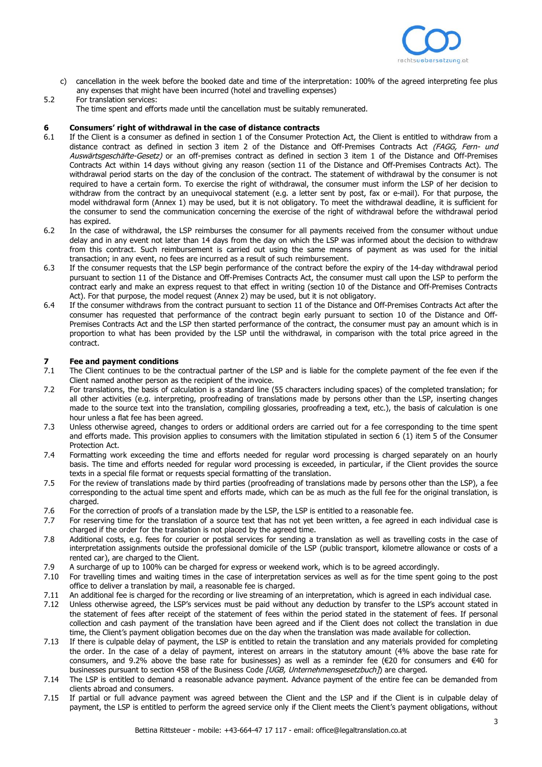

c) cancellation in the week before the booked date and time of the interpretation: 100% of the agreed interpreting fee plus any expenses that might have been incurred (hotel and travelling expenses)

## 5.2 For translation services:

The time spent and efforts made until the cancellation must be suitably remunerated.

#### **6 Consumers' right of withdrawal in the case of distance contracts**

- 6.1 If the Client is a consumer as defined in section 1 of the Consumer Protection Act, the Client is entitled to withdraw from a distance contract as defined in section 3 item 2 of the Distance and Off-Premises Contracts Act (FAGG, Fern- und Auswärtsgeschäfte-Gesetz) or an off-premises contract as defined in section 3 item 1 of the Distance and Off-Premises Contracts Act within 14 days without giving any reason (section 11 of the Distance and Off-Premises Contracts Act). The withdrawal period starts on the day of the conclusion of the contract. The statement of withdrawal by the consumer is not required to have a certain form. To exercise the right of withdrawal, the consumer must inform the LSP of her decision to withdraw from the contract by an unequivocal statement (e.g. a letter sent by post, fax or e-mail). For that purpose, the model withdrawal form (Annex 1) may be used, but it is not obligatory. To meet the withdrawal deadline, it is sufficient for the consumer to send the communication concerning the exercise of the right of withdrawal before the withdrawal period has expired.
- 6.2 In the case of withdrawal, the LSP reimburses the consumer for all payments received from the consumer without undue delay and in any event not later than 14 days from the day on which the LSP was informed about the decision to withdraw from this contract. Such reimbursement is carried out using the same means of payment as was used for the initial transaction; in any event, no fees are incurred as a result of such reimbursement.
- 6.3 If the consumer requests that the LSP begin performance of the contract before the expiry of the 14-day withdrawal period pursuant to section 11 of the Distance and Off-Premises Contracts Act, the consumer must call upon the LSP to perform the contract early and make an express request to that effect in writing (section 10 of the Distance and Off-Premises Contracts Act). For that purpose, the model request (Annex 2) may be used, but it is not obligatory.
- 6.4 If the consumer withdraws from the contract pursuant to section 11 of the Distance and Off-Premises Contracts Act after the consumer has requested that performance of the contract begin early pursuant to section 10 of the Distance and Off-Premises Contracts Act and the LSP then started performance of the contract, the consumer must pay an amount which is in proportion to what has been provided by the LSP until the withdrawal, in comparison with the total price agreed in the contract.

#### **7 Fee and payment conditions**

- 7.1 The Client continues to be the contractual partner of the LSP and is liable for the complete payment of the fee even if the Client named another person as the recipient of the invoice.
- 7.2 For translations, the basis of calculation is a standard line (55 characters including spaces) of the completed translation; for all other activities (e.g. interpreting, proofreading of translations made by persons other than the LSP, inserting changes made to the source text into the translation, compiling glossaries, proofreading a text, etc.), the basis of calculation is one hour unless a flat fee has been agreed.
- 7.3 Unless otherwise agreed, changes to orders or additional orders are carried out for a fee corresponding to the time spent and efforts made. This provision applies to consumers with the limitation stipulated in section 6 (1) item 5 of the Consumer Protection Act.
- 7.4 Formatting work exceeding the time and efforts needed for regular word processing is charged separately on an hourly basis. The time and efforts needed for regular word processing is exceeded, in particular, if the Client provides the source texts in a special file format or requests special formatting of the translation.
- 7.5 For the review of translations made by third parties (proofreading of translations made by persons other than the LSP), a fee corresponding to the actual time spent and efforts made, which can be as much as the full fee for the original translation, is charged.
- 7.6 For the correction of proofs of a translation made by the LSP, the LSP is entitled to a reasonable fee.
- 7.7 For reserving time for the translation of a source text that has not yet been written, a fee agreed in each individual case is charged if the order for the translation is not placed by the agreed time.
- 7.8 Additional costs, e.g. fees for courier or postal services for sending a translation as well as travelling costs in the case of interpretation assignments outside the professional domicile of the LSP (public transport, kilometre allowance or costs of a rented car), are charged to the Client.
- 7.9 A surcharge of up to 100% can be charged for express or weekend work, which is to be agreed accordingly.
- 7.10 For travelling times and waiting times in the case of interpretation services as well as for the time spent going to the post office to deliver a translation by mail, a reasonable fee is charged.
- 7.11 An additional fee is charged for the recording or live streaming of an interpretation, which is agreed in each individual case.
- 7.12 Unless otherwise agreed, the LSP's services must be paid without any deduction by transfer to the LSP's account stated in the statement of fees after receipt of the statement of fees within the period stated in the statement of fees. If personal collection and cash payment of the translation have been agreed and if the Client does not collect the translation in due time, the Client's payment obligation becomes due on the day when the translation was made available for collection.
- 7.13 If there is culpable delay of payment, the LSP is entitled to retain the translation and any materials provided for completing the order. In the case of a delay of payment, interest on arrears in the statutory amount (4% above the base rate for consumers, and 9.2% above the base rate for businesses) as well as a reminder fee (€20 for consumers and €40 for businesses pursuant to section 458 of the Business Code [UGB, Unternehmensgesetzbuch]) are charged.
- 7.14 The LSP is entitled to demand a reasonable advance payment. Advance payment of the entire fee can be demanded from clients abroad and consumers.
- 7.15 If partial or full advance payment was agreed between the Client and the LSP and if the Client is in culpable delay of payment, the LSP is entitled to perform the agreed service only if the Client meets the Client's payment obligations, without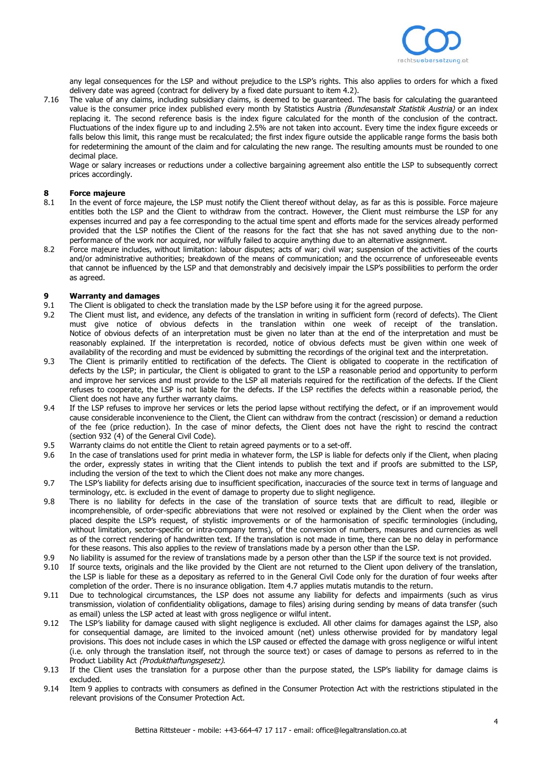

any legal consequences for the LSP and without prejudice to the LSP's rights. This also applies to orders for which a fixed delivery date was agreed (contract for delivery by a fixed date pursuant to item 4.2).

7.16 The value of any claims, including subsidiary claims, is deemed to be guaranteed. The basis for calculating the guaranteed value is the consumer price index published every month by Statistics Austria (Bundesanstalt Statistik Austria) or an index replacing it. The second reference basis is the index figure calculated for the month of the conclusion of the contract. Fluctuations of the index figure up to and including 2.5% are not taken into account. Every time the index figure exceeds or falls below this limit, this range must be recalculated; the first index figure outside the applicable range forms the basis both for redetermining the amount of the claim and for calculating the new range. The resulting amounts must be rounded to one decimal place.

Wage or salary increases or reductions under a collective bargaining agreement also entitle the LSP to subsequently correct prices accordingly.

#### **8 Force majeure**

- 8.1 In the event of force majeure, the LSP must notify the Client thereof without delay, as far as this is possible. Force majeure entitles both the LSP and the Client to withdraw from the contract. However, the Client must reimburse the LSP for any expenses incurred and pay a fee corresponding to the actual time spent and efforts made for the services already performed provided that the LSP notifies the Client of the reasons for the fact that she has not saved anything due to the nonperformance of the work nor acquired, nor wilfully failed to acquire anything due to an alternative assignment.
- 8.2 Force majeure includes, without limitation: labour disputes; acts of war; civil war; suspension of the activities of the courts and/or administrative authorities; breakdown of the means of communication; and the occurrence of unforeseeable events that cannot be influenced by the LSP and that demonstrably and decisively impair the LSP's possibilities to perform the order as agreed.

# **9 <b>Warranty and damages**<br>**9.1** The Client is obligated to c

- The Client is obligated to check the translation made by the LSP before using it for the agreed purpose.
- 9.2 The Client must list, and evidence, any defects of the translation in writing in sufficient form (record of defects). The Client must give notice of obvious defects in the translation within one week of receipt of the translation. Notice of obvious defects of an interpretation must be given no later than at the end of the interpretation and must be reasonably explained. If the interpretation is recorded, notice of obvious defects must be given within one week of availability of the recording and must be evidenced by submitting the recordings of the original text and the interpretation.
- 9.3 The Client is primarily entitled to rectification of the defects. The Client is obligated to cooperate in the rectification of defects by the LSP; in particular, the Client is obligated to grant to the LSP a reasonable period and opportunity to perform and improve her services and must provide to the LSP all materials required for the rectification of the defects. If the Client refuses to cooperate, the LSP is not liable for the defects. If the LSP rectifies the defects within a reasonable period, the Client does not have any further warranty claims.
- 9.4 If the LSP refuses to improve her services or lets the period lapse without rectifying the defect, or if an improvement would cause considerable inconvenience to the Client, the Client can withdraw from the contract (rescission) or demand a reduction of the fee (price reduction). In the case of minor defects, the Client does not have the right to rescind the contract (section 932 (4) of the General Civil Code).
- 9.5 Warranty claims do not entitle the Client to retain agreed payments or to a set-off.
- 9.6 In the case of translations used for print media in whatever form, the LSP is liable for defects only if the Client, when placing the order, expressly states in writing that the Client intends to publish the text and if proofs are submitted to the LSP, including the version of the text to which the Client does not make any more changes.
- 9.7 The LSP's liability for defects arising due to insufficient specification, inaccuracies of the source text in terms of language and terminology, etc. is excluded in the event of damage to property due to slight negligence.
- 9.8 There is no liability for defects in the case of the translation of source texts that are difficult to read, illegible or incomprehensible, of order-specific abbreviations that were not resolved or explained by the Client when the order was placed despite the LSP's request, of stylistic improvements or of the harmonisation of specific terminologies (including, without limitation, sector-specific or intra-company terms), of the conversion of numbers, measures and currencies as well as of the correct rendering of handwritten text. If the translation is not made in time, there can be no delay in performance for these reasons. This also applies to the review of translations made by a person other than the LSP.
- 9.9 No liability is assumed for the review of translations made by a person other than the LSP if the source text is not provided.
- 9.10 If source texts, originals and the like provided by the Client are not returned to the Client upon delivery of the translation, the LSP is liable for these as a depositary as referred to in the General Civil Code only for the duration of four weeks after completion of the order. There is no insurance obligation. Item 4.7 applies mutatis mutandis to the return.
- 9.11 Due to technological circumstances, the LSP does not assume any liability for defects and impairments (such as virus transmission, violation of confidentiality obligations, damage to files) arising during sending by means of data transfer (such as email) unless the LSP acted at least with gross negligence or wilful intent.
- 9.12 The LSP's liability for damage caused with slight negligence is excluded. All other claims for damages against the LSP, also for consequential damage, are limited to the invoiced amount (net) unless otherwise provided for by mandatory legal provisions. This does not include cases in which the LSP caused or effected the damage with gross negligence or wilful intent (i.e. only through the translation itself, not through the source text) or cases of damage to persons as referred to in the Product Liability Act (Produkthaftungsgesetz).
- 9.13 If the Client uses the translation for a purpose other than the purpose stated, the LSP's liability for damage claims is excluded.
- 9.14 Item 9 applies to contracts with consumers as defined in the Consumer Protection Act with the restrictions stipulated in the relevant provisions of the Consumer Protection Act.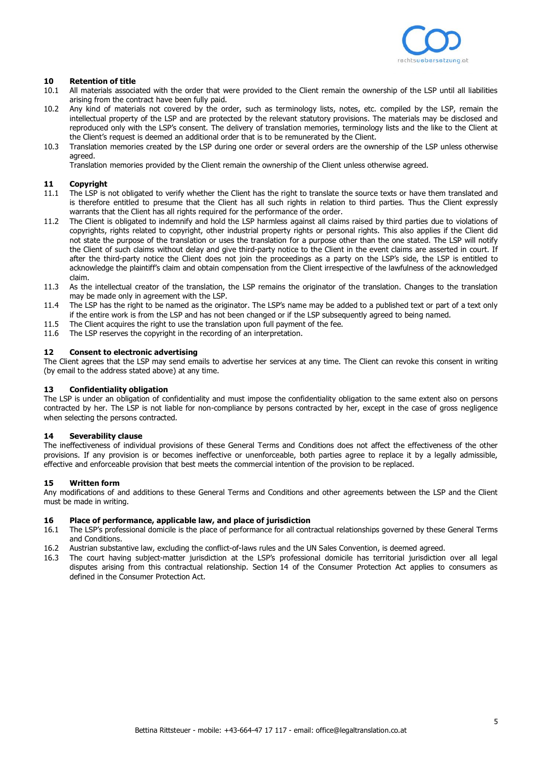

#### **10 Retention of title**

- 10.1 All materials associated with the order that were provided to the Client remain the ownership of the LSP until all liabilities arising from the contract have been fully paid.
- 10.2 Any kind of materials not covered by the order, such as terminology lists, notes, etc. compiled by the LSP, remain the intellectual property of the LSP and are protected by the relevant statutory provisions. The materials may be disclosed and reproduced only with the LSP's consent. The delivery of translation memories, terminology lists and the like to the Client at the Client's request is deemed an additional order that is to be remunerated by the Client.
- 10.3 Translation memories created by the LSP during one order or several orders are the ownership of the LSP unless otherwise agreed.

Translation memories provided by the Client remain the ownership of the Client unless otherwise agreed.

# **11 Copyright**<br>11.1 The LSP is

- The LSP is not obligated to verify whether the Client has the right to translate the source texts or have them translated and is therefore entitled to presume that the Client has all such rights in relation to third parties. Thus the Client expressly warrants that the Client has all rights required for the performance of the order.
- 11.2 The Client is obligated to indemnify and hold the LSP harmless against all claims raised by third parties due to violations of copyrights, rights related to copyright, other industrial property rights or personal rights. This also applies if the Client did not state the purpose of the translation or uses the translation for a purpose other than the one stated. The LSP will notify the Client of such claims without delay and give third-party notice to the Client in the event claims are asserted in court. If after the third-party notice the Client does not join the proceedings as a party on the LSP's side, the LSP is entitled to acknowledge the plaintiff's claim and obtain compensation from the Client irrespective of the lawfulness of the acknowledged claim.
- 11.3 As the intellectual creator of the translation, the LSP remains the originator of the translation. Changes to the translation may be made only in agreement with the LSP.
- 11.4 The LSP has the right to be named as the originator. The LSP's name may be added to a published text or part of a text only if the entire work is from the LSP and has not been changed or if the LSP subsequently agreed to being named.
- 11.5 The Client acquires the right to use the translation upon full payment of the fee.<br>11.6 The LSP reserves the convright in the recording of an interpretation.
- The LSP reserves the copyright in the recording of an interpretation.

#### **12 Consent to electronic advertising**

The Client agrees that the LSP may send emails to advertise her services at any time. The Client can revoke this consent in writing (by email to the address stated above) at any time.

#### **13 Confidentiality obligation**

The LSP is under an obligation of confidentiality and must impose the confidentiality obligation to the same extent also on persons contracted by her. The LSP is not liable for non-compliance by persons contracted by her, except in the case of gross negligence when selecting the persons contracted.

#### **14 Severability clause**

The ineffectiveness of individual provisions of these General Terms and Conditions does not affect the effectiveness of the other provisions. If any provision is or becomes ineffective or unenforceable, both parties agree to replace it by a legally admissible, effective and enforceable provision that best meets the commercial intention of the provision to be replaced.

#### **15 Written form**

Any modifications of and additions to these General Terms and Conditions and other agreements between the LSP and the Client must be made in writing.

#### **16 Place of performance, applicable law, and place of jurisdiction**

- 16.1 The LSP's professional domicile is the place of performance for all contractual relationships governed by these General Terms and Conditions.
- 16.2 Austrian substantive law, excluding the conflict-of-laws rules and the UN Sales Convention, is deemed agreed.
- 16.3 The court having subject-matter jurisdiction at the LSP's professional domicile has territorial jurisdiction over all legal disputes arising from this contractual relationship. Section 14 of the Consumer Protection Act applies to consumers as defined in the Consumer Protection Act.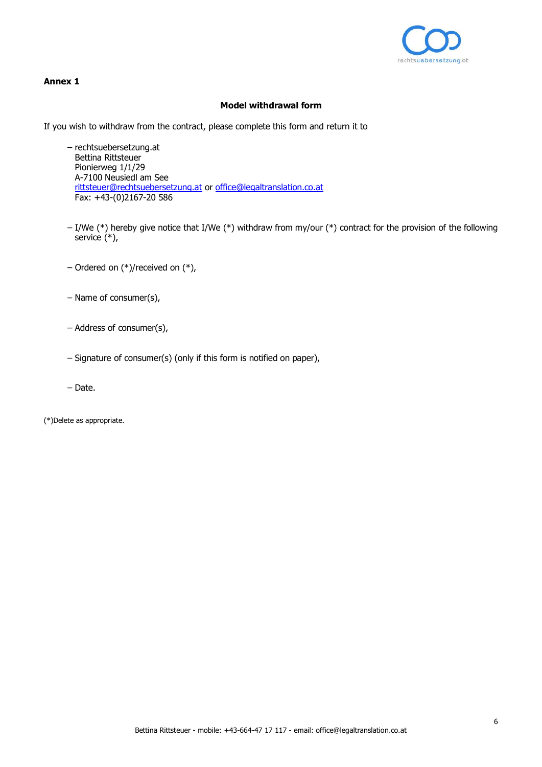

## **Annex 1**

## **Model withdrawal form**

If you wish to withdraw from the contract, please complete this form and return it to

- rechtsuebersetzung.at Bettina Rittsteuer Pionierweg 1/1/29 A-7100 Neusiedl am See [rittsteuer@rechtsuebersetzung.at o](mailto:rittsteuer:@rechtsuebersetzung.at)r [office@legaltranslation.co.at](mailto:office:@legaltranslation.co.at) Fax: +43-(0)2167-20 586
- I/We (\*) hereby give notice that I/We (\*) withdraw from my/our (\*) contract for the provision of the following service  $(*)$ ,
- Ordered on (\*)/received on (\*),
- Name of consumer(s),
- Address of consumer(s),
- Signature of consumer(s) (only if this form is notified on paper),
- Date.

(\*)Delete as appropriate.